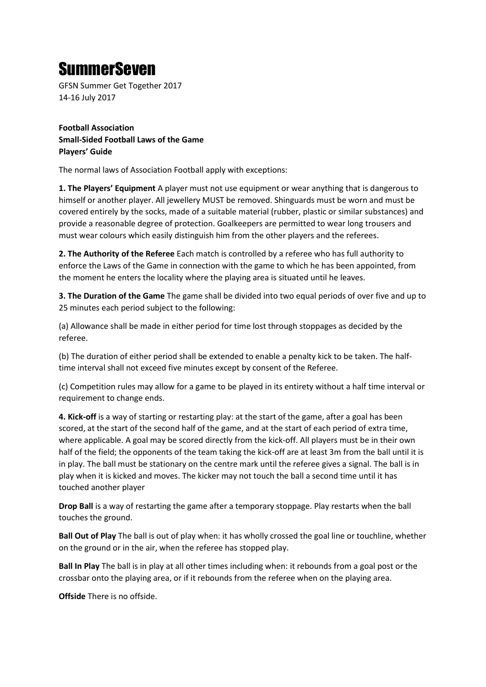## SummerSeven

GFSN Summer Get Together 2017 14-16 July 2017

**Football Association Small-Sided Football Laws of the Game Players' Guide** 

The normal laws of Association Football apply with exceptions:

**1. The Players' Equipment** A player must not use equipment or wear anything that is dangerous to himself or another player. All jewellery MUST be removed. Shinguards must be worn and must be covered entirely by the socks, made of a suitable material (rubber, plastic or similar substances) and provide a reasonable degree of protection. Goalkeepers are permitted to wear long trousers and must wear colours which easily distinguish him from the other players and the referees.

**2. The Authority of the Referee** Each match is controlled by a referee who has full authority to enforce the Laws of the Game in connection with the game to which he has been appointed, from the moment he enters the locality where the playing area is situated until he leaves.

**3. The Duration of the Game** The game shall be divided into two equal periods of over five and up to 25 minutes each period subject to the following:

(a) Allowance shall be made in either period for time lost through stoppages as decided by the referee.

(b) The duration of either period shall be extended to enable a penalty kick to be taken. The halftime interval shall not exceed five minutes except by consent of the Referee.

(c) Competition rules may allow for a game to be played in its entirety without a half time interval or requirement to change ends.

**4. Kick-off** is a way of starting or restarting play: at the start of the game, after a goal has been scored, at the start of the second half of the game, and at the start of each period of extra time, where applicable. A goal may be scored directly from the kick-off. All players must be in their own half of the field; the opponents of the team taking the kick-off are at least 3m from the ball until it is in play. The ball must be stationary on the centre mark until the referee gives a signal. The ball is in play when it is kicked and moves. The kicker may not touch the ball a second time until it has touched another player

**Drop Ball** is a way of restarting the game after a temporary stoppage. Play restarts when the ball touches the ground.

**Ball Out of Play** The ball is out of play when: it has wholly crossed the goal line or touchline, whether on the ground or in the air, when the referee has stopped play.

**Ball In Play** The ball is in play at all other times including when: it rebounds from a goal post or the crossbar onto the playing area, or if it rebounds from the referee when on the playing area.

**Offside** There is no offside.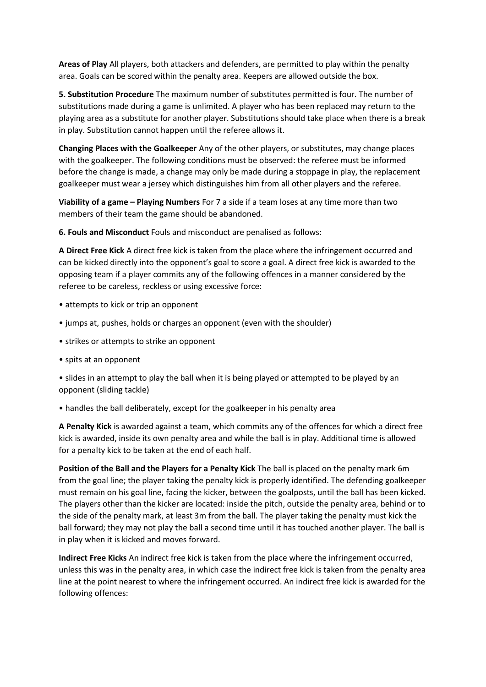**Areas of Play** All players, both attackers and defenders, are permitted to play within the penalty area. Goals can be scored within the penalty area. Keepers are allowed outside the box.

**5. Substitution Procedure** The maximum number of substitutes permitted is four. The number of substitutions made during a game is unlimited. A player who has been replaced may return to the playing area as a substitute for another player. Substitutions should take place when there is a break in play. Substitution cannot happen until the referee allows it.

**Changing Places with the Goalkeeper** Any of the other players, or substitutes, may change places with the goalkeeper. The following conditions must be observed: the referee must be informed before the change is made, a change may only be made during a stoppage in play, the replacement goalkeeper must wear a jersey which distinguishes him from all other players and the referee.

**Viability of a game – Playing Numbers** For 7 a side if a team loses at any time more than two members of their team the game should be abandoned.

**6. Fouls and Misconduct** Fouls and misconduct are penalised as follows:

**A Direct Free Kick** A direct free kick is taken from the place where the infringement occurred and can be kicked directly into the opponent's goal to score a goal. A direct free kick is awarded to the opposing team if a player commits any of the following offences in a manner considered by the referee to be careless, reckless or using excessive force:

- attempts to kick or trip an opponent
- jumps at, pushes, holds or charges an opponent (even with the shoulder)
- strikes or attempts to strike an opponent
- spits at an opponent

• slides in an attempt to play the ball when it is being played or attempted to be played by an opponent (sliding tackle)

• handles the ball deliberately, except for the goalkeeper in his penalty area

**A Penalty Kick** is awarded against a team, which commits any of the offences for which a direct free kick is awarded, inside its own penalty area and while the ball is in play. Additional time is allowed for a penalty kick to be taken at the end of each half.

**Position of the Ball and the Players for a Penalty Kick** The ball is placed on the penalty mark 6m from the goal line; the player taking the penalty kick is properly identified. The defending goalkeeper must remain on his goal line, facing the kicker, between the goalposts, until the ball has been kicked. The players other than the kicker are located: inside the pitch, outside the penalty area, behind or to the side of the penalty mark, at least 3m from the ball. The player taking the penalty must kick the ball forward; they may not play the ball a second time until it has touched another player. The ball is in play when it is kicked and moves forward.

**Indirect Free Kicks** An indirect free kick is taken from the place where the infringement occurred, unless this was in the penalty area, in which case the indirect free kick is taken from the penalty area line at the point nearest to where the infringement occurred. An indirect free kick is awarded for the following offences: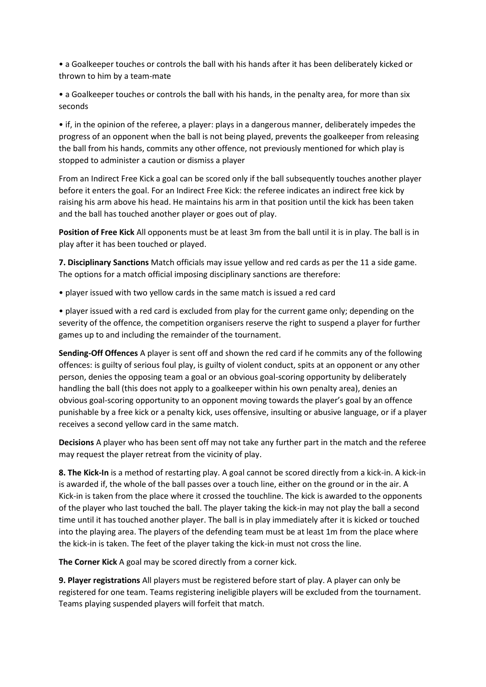• a Goalkeeper touches or controls the ball with his hands after it has been deliberately kicked or thrown to him by a team-mate

• a Goalkeeper touches or controls the ball with his hands, in the penalty area, for more than six seconds

• if, in the opinion of the referee, a player: plays in a dangerous manner, deliberately impedes the progress of an opponent when the ball is not being played, prevents the goalkeeper from releasing the ball from his hands, commits any other offence, not previously mentioned for which play is stopped to administer a caution or dismiss a player

From an Indirect Free Kick a goal can be scored only if the ball subsequently touches another player before it enters the goal. For an Indirect Free Kick: the referee indicates an indirect free kick by raising his arm above his head. He maintains his arm in that position until the kick has been taken and the ball has touched another player or goes out of play.

**Position of Free Kick** All opponents must be at least 3m from the ball until it is in play. The ball is in play after it has been touched or played.

**7. Disciplinary Sanctions** Match officials may issue yellow and red cards as per the 11 a side game. The options for a match official imposing disciplinary sanctions are therefore:

• player issued with two yellow cards in the same match is issued a red card

• player issued with a red card is excluded from play for the current game only; depending on the severity of the offence, the competition organisers reserve the right to suspend a player for further games up to and including the remainder of the tournament.

**Sending-Off Offences** A player is sent off and shown the red card if he commits any of the following offences: is guilty of serious foul play, is guilty of violent conduct, spits at an opponent or any other person, denies the opposing team a goal or an obvious goal-scoring opportunity by deliberately handling the ball (this does not apply to a goalkeeper within his own penalty area), denies an obvious goal-scoring opportunity to an opponent moving towards the player's goal by an offence punishable by a free kick or a penalty kick, uses offensive, insulting or abusive language, or if a player receives a second yellow card in the same match.

**Decisions** A player who has been sent off may not take any further part in the match and the referee may request the player retreat from the vicinity of play.

**8. The Kick-In** is a method of restarting play. A goal cannot be scored directly from a kick-in. A kick-in is awarded if, the whole of the ball passes over a touch line, either on the ground or in the air. A Kick-in is taken from the place where it crossed the touchline. The kick is awarded to the opponents of the player who last touched the ball. The player taking the kick-in may not play the ball a second time until it has touched another player. The ball is in play immediately after it is kicked or touched into the playing area. The players of the defending team must be at least 1m from the place where the kick-in is taken. The feet of the player taking the kick-in must not cross the line.

**The Corner Kick** A goal may be scored directly from a corner kick.

**9. Player registrations** All players must be registered before start of play. A player can only be registered for one team. Teams registering ineligible players will be excluded from the tournament. Teams playing suspended players will forfeit that match.